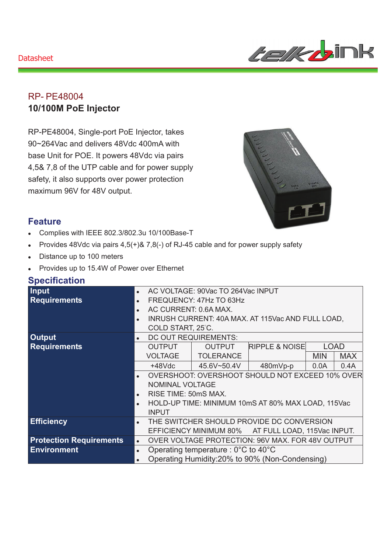#### **Datasheet**



## RP- PE48004 **10/100M PoE Injector**

RP-PE48004, Single-port PoE Injector, takes 90~264Vac and delivers 48Vdc 400mA with base Unit for POE. It powers 48Vdc via pairs 4,5& 7,8 of the UTP cable and for power supply safety, it also supports over power protection maximum 96V for 48V output.



#### **Feature**

- Complies with IEEE 802.3/802.3u 10/100Base-T
- Provides 48Vdc via pairs  $4,5(+)$ &  $7,8(-)$  of RJ-45 cable and for power supply safety
- Distance up to 100 meters
- Provides up to 15.4W of Power over Ethernet

### **Specification**

| <b>Input</b>                   | $\bullet$ | AC VOLTAGE: 90Vac TO 264Vac INPUT                                                                                                                |                  |                                                    |             |            |  |
|--------------------------------|-----------|--------------------------------------------------------------------------------------------------------------------------------------------------|------------------|----------------------------------------------------|-------------|------------|--|
| <b>Requirements</b>            | $\bullet$ | FREQUENCY: 47Hz TO 63Hz                                                                                                                          |                  |                                                    |             |            |  |
|                                | $\bullet$ | AC CURRENT: 0.6A MAX.<br>INRUSH CURRENT: 40A MAX. AT 115Vac AND FULL LOAD,<br>COLD START, 25°C.                                                  |                  |                                                    |             |            |  |
|                                | $\bullet$ |                                                                                                                                                  |                  |                                                    |             |            |  |
|                                |           |                                                                                                                                                  |                  |                                                    |             |            |  |
| <b>Output</b>                  | $\bullet$ | DC OUT REQUIREMENTS:                                                                                                                             |                  |                                                    |             |            |  |
| <b>Requirements</b>            |           | <b>OUTPUT</b>                                                                                                                                    | <b>OUTPUT</b>    | <b>RIPPLE &amp; NOISE</b>                          | <b>LOAD</b> |            |  |
|                                |           | <b>VOLTAGE</b>                                                                                                                                   | <b>TOLERANCE</b> |                                                    | <b>MIN</b>  | <b>MAX</b> |  |
|                                |           | $+48$ Vdc                                                                                                                                        | 45.6V~50.4V      | 480mVp-p                                           | 0.0A        | 0.4A       |  |
|                                | $\bullet$ | OVERSHOOT: OVERSHOOT SHOULD NOT EXCEED 10% OVER<br>NOMINAL VOLTAGE<br>RISE TIME: 50mS MAX.<br>HOLD-UP TIME: MINIMUM 10mS AT 80% MAX LOAD, 115Vac |                  |                                                    |             |            |  |
|                                |           |                                                                                                                                                  |                  |                                                    |             |            |  |
|                                | $\bullet$ |                                                                                                                                                  |                  |                                                    |             |            |  |
|                                | $\bullet$ |                                                                                                                                                  |                  |                                                    |             |            |  |
|                                |           | <b>INPUT</b>                                                                                                                                     |                  |                                                    |             |            |  |
| <b>Efficiency</b>              | $\bullet$ | THE SWITCHER SHOULD PROVIDE DC CONVERSION                                                                                                        |                  |                                                    |             |            |  |
|                                |           |                                                                                                                                                  |                  | EFFICIENCY MINIMUM 80% AT FULL LOAD, 115Vac INPUT. |             |            |  |
| <b>Protection Requirements</b> | $\bullet$ | OVER VOLTAGE PROTECTION: 96V MAX. FOR 48V OUTPUT                                                                                                 |                  |                                                    |             |            |  |
| <b>Environment</b>             | $\bullet$ | Operating temperature : $0^{\circ}$ C to 40 $^{\circ}$ C                                                                                         |                  |                                                    |             |            |  |
|                                | $\bullet$ | Operating Humidity:20% to 90% (Non-Condensing)                                                                                                   |                  |                                                    |             |            |  |